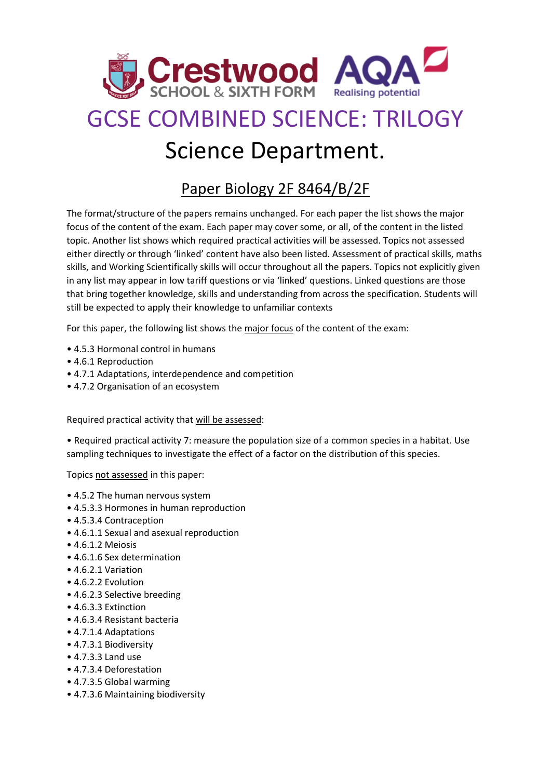

## GCSE COMBINED SCIENCE: TRILOGY Science Department.

## Paper Biology 2F 8464/B/2F

The format/structure of the papers remains unchanged. For each paper the list shows the major focus of the content of the exam. Each paper may cover some, or all, of the content in the listed topic. Another list shows which required practical activities will be assessed. Topics not assessed either directly or through 'linked' content have also been listed. Assessment of practical skills, maths skills, and Working Scientifically skills will occur throughout all the papers. Topics not explicitly given in any list may appear in low tariff questions or via 'linked' questions. Linked questions are those that bring together knowledge, skills and understanding from across the specification. Students will still be expected to apply their knowledge to unfamiliar contexts

For this paper, the following list shows the major focus of the content of the exam:

- 4.5.3 Hormonal control in humans
- 4.6.1 Reproduction
- 4.7.1 Adaptations, interdependence and competition
- 4.7.2 Organisation of an ecosystem

Required practical activity that will be assessed:

• Required practical activity 7: measure the population size of a common species in a habitat. Use sampling techniques to investigate the effect of a factor on the distribution of this species.

Topics not assessed in this paper:

- 4.5.2 The human nervous system
- 4.5.3.3 Hormones in human reproduction
- 4.5.3.4 Contraception
- 4.6.1.1 Sexual and asexual reproduction
- 4.6.1.2 Meiosis
- 4.6.1.6 Sex determination
- 4.6.2.1 Variation
- 4.6.2.2 Evolution
- 4.6.2.3 Selective breeding
- 4.6.3.3 Extinction
- 4.6.3.4 Resistant bacteria
- 4.7.1.4 Adaptations
- 4.7.3.1 Biodiversity
- 4.7.3.3 Land use
- 4.7.3.4 Deforestation
- 4.7.3.5 Global warming
- 4.7.3.6 Maintaining biodiversity